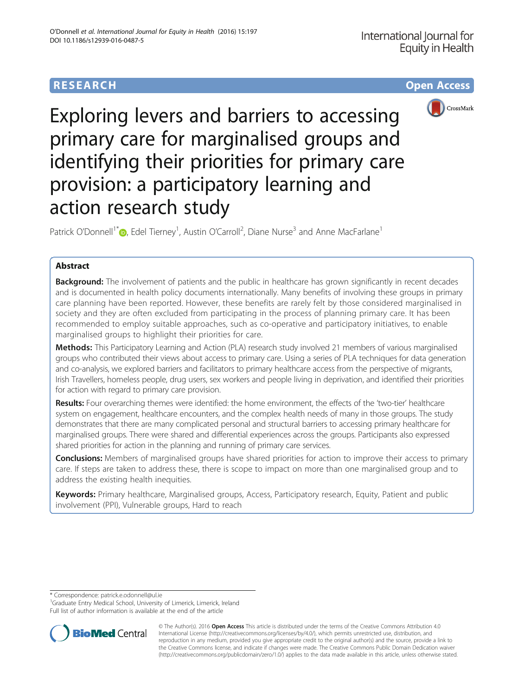# **RESEARCH CHE Open Access**



Exploring levers and barriers to accessing primary care for marginalised groups and identifying their priorities for primary care provision: a participatory learning and action research study

Patrick O'Donnell<sup>1[\\*](http://orcid.org/0000-0001-7710-7832)</sup> <sub>(1</sub>), Edel Tierney<sup>1</sup>, Austin O'Carroll<sup>2</sup>, Diane Nurse<sup>3</sup> and Anne MacFarlane<sup>1</sup>

# Abstract

**Background:** The involvement of patients and the public in healthcare has grown significantly in recent decades and is documented in health policy documents internationally. Many benefits of involving these groups in primary care planning have been reported. However, these benefits are rarely felt by those considered marginalised in society and they are often excluded from participating in the process of planning primary care. It has been recommended to employ suitable approaches, such as co-operative and participatory initiatives, to enable marginalised groups to highlight their priorities for care.

Methods: This Participatory Learning and Action (PLA) research study involved 21 members of various marginalised groups who contributed their views about access to primary care. Using a series of PLA techniques for data generation and co-analysis, we explored barriers and facilitators to primary healthcare access from the perspective of migrants, Irish Travellers, homeless people, drug users, sex workers and people living in deprivation, and identified their priorities for action with regard to primary care provision.

Results: Four overarching themes were identified: the home environment, the effects of the 'two-tier' healthcare system on engagement, healthcare encounters, and the complex health needs of many in those groups. The study demonstrates that there are many complicated personal and structural barriers to accessing primary healthcare for marginalised groups. There were shared and differential experiences across the groups. Participants also expressed shared priorities for action in the planning and running of primary care services.

**Conclusions:** Members of marginalised groups have shared priorities for action to improve their access to primary care. If steps are taken to address these, there is scope to impact on more than one marginalised group and to address the existing health inequities.

Keywords: Primary healthcare, Marginalised groups, Access, Participatory research, Equity, Patient and public involvement (PPI), Vulnerable groups, Hard to reach

\* Correspondence: [patrick.e.odonnell@ul.ie](mailto:patrick.e.odonnell@ul.ie) <sup>1</sup>

<sup>1</sup>Graduate Entry Medical School, University of Limerick, Limerick, Ireland Full list of author information is available at the end of the article



© The Author(s). 2016 Open Access This article is distributed under the terms of the Creative Commons Attribution 4.0 International License [\(http://creativecommons.org/licenses/by/4.0/](http://creativecommons.org/licenses/by/4.0/)), which permits unrestricted use, distribution, and reproduction in any medium, provided you give appropriate credit to the original author(s) and the source, provide a link to the Creative Commons license, and indicate if changes were made. The Creative Commons Public Domain Dedication waiver [\(http://creativecommons.org/publicdomain/zero/1.0/](http://creativecommons.org/publicdomain/zero/1.0/)) applies to the data made available in this article, unless otherwise stated.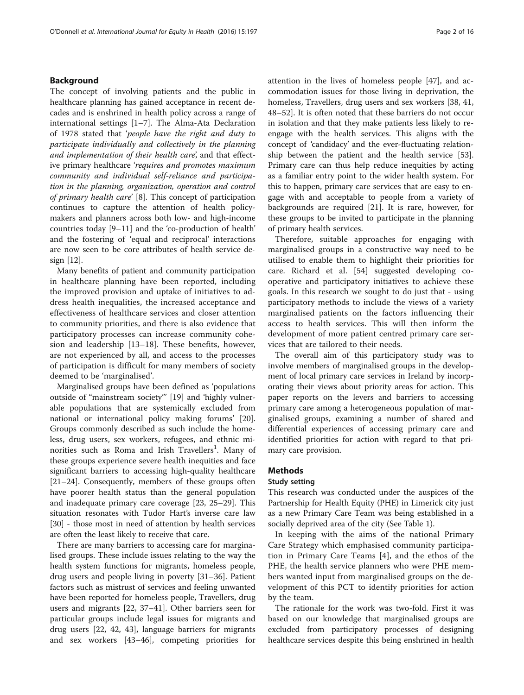## Background

The concept of involving patients and the public in healthcare planning has gained acceptance in recent decades and is enshrined in health policy across a range of international settings [\[1](#page-14-0)–[7\]](#page-14-0). The Alma-Ata Declaration of 1978 stated that 'people have the right and duty to participate individually and collectively in the planning and implementation of their health care', and that effective primary healthcare 'requires and promotes maximum community and individual self-reliance and participation in the planning, organization, operation and control of primary health care' [\[8](#page-14-0)]. This concept of participation continues to capture the attention of health policymakers and planners across both low- and high-income countries today [[9](#page-14-0)–[11\]](#page-14-0) and the 'co-production of health' and the fostering of 'equal and reciprocal' interactions are now seen to be core attributes of health service design [\[12](#page-14-0)].

Many benefits of patient and community participation in healthcare planning have been reported, including the improved provision and uptake of initiatives to address health inequalities, the increased acceptance and effectiveness of healthcare services and closer attention to community priorities, and there is also evidence that participatory processes can increase community cohesion and leadership [[13](#page-14-0)–[18\]](#page-14-0). These benefits, however, are not experienced by all, and access to the processes of participation is difficult for many members of society deemed to be 'marginalised'.

Marginalised groups have been defined as 'populations outside of "mainstream society"' [\[19](#page-14-0)] and 'highly vulnerable populations that are systemically excluded from national or international policy making forums' [\[20](#page-14-0)]. Groups commonly described as such include the homeless, drug users, sex workers, refugees, and ethnic minorities such as Roma and Irish Travellers<sup>1</sup>. Many of these groups experience severe health inequities and face significant barriers to accessing high-quality healthcare [[21](#page-14-0)–[24](#page-14-0)]. Consequently, members of these groups often have poorer health status than the general population and inadequate primary care coverage [\[23](#page-14-0), [25](#page-14-0)–[29](#page-14-0)]. This situation resonates with Tudor Hart's inverse care law [[30\]](#page-14-0) - those most in need of attention by health services are often the least likely to receive that care.

There are many barriers to accessing care for marginalised groups. These include issues relating to the way the health system functions for migrants, homeless people, drug users and people living in poverty [\[31](#page-14-0)–[36](#page-14-0)]. Patient factors such as mistrust of services and feeling unwanted have been reported for homeless people, Travellers, drug users and migrants [\[22](#page-14-0), [37](#page-14-0)–[41\]](#page-14-0). Other barriers seen for particular groups include legal issues for migrants and drug users [[22, 42](#page-14-0), [43\]](#page-14-0), language barriers for migrants and sex workers [\[43](#page-14-0)–[46\]](#page-15-0), competing priorities for attention in the lives of homeless people [\[47\]](#page-15-0), and accommodation issues for those living in deprivation, the homeless, Travellers, drug users and sex workers [[38](#page-14-0), [41](#page-14-0), [48](#page-15-0)–[52](#page-15-0)]. It is often noted that these barriers do not occur in isolation and that they make patients less likely to reengage with the health services. This aligns with the concept of 'candidacy' and the ever-fluctuating relationship between the patient and the health service [\[53](#page-15-0)]. Primary care can thus help reduce inequities by acting as a familiar entry point to the wider health system. For this to happen, primary care services that are easy to engage with and acceptable to people from a variety of backgrounds are required [\[21\]](#page-14-0). It is rare, however, for these groups to be invited to participate in the planning of primary health services.

Therefore, suitable approaches for engaging with marginalised groups in a constructive way need to be utilised to enable them to highlight their priorities for care. Richard et al. [\[54](#page-15-0)] suggested developing cooperative and participatory initiatives to achieve these goals. In this research we sought to do just that - using participatory methods to include the views of a variety marginalised patients on the factors influencing their access to health services. This will then inform the development of more patient centred primary care services that are tailored to their needs.

The overall aim of this participatory study was to involve members of marginalised groups in the development of local primary care services in Ireland by incorporating their views about priority areas for action. This paper reports on the levers and barriers to accessing primary care among a heterogeneous population of marginalised groups, examining a number of shared and differential experiences of accessing primary care and identified priorities for action with regard to that primary care provision.

## **Methods**

## Study setting

This research was conducted under the auspices of the Partnership for Health Equity (PHE) in Limerick city just as a new Primary Care Team was being established in a socially deprived area of the city (See Table [1](#page-2-0)).

In keeping with the aims of the national Primary Care Strategy which emphasised community participation in Primary Care Teams [\[4\]](#page-14-0), and the ethos of the PHE, the health service planners who were PHE members wanted input from marginalised groups on the development of this PCT to identify priorities for action by the team.

The rationale for the work was two-fold. First it was based on our knowledge that marginalised groups are excluded from participatory processes of designing healthcare services despite this being enshrined in health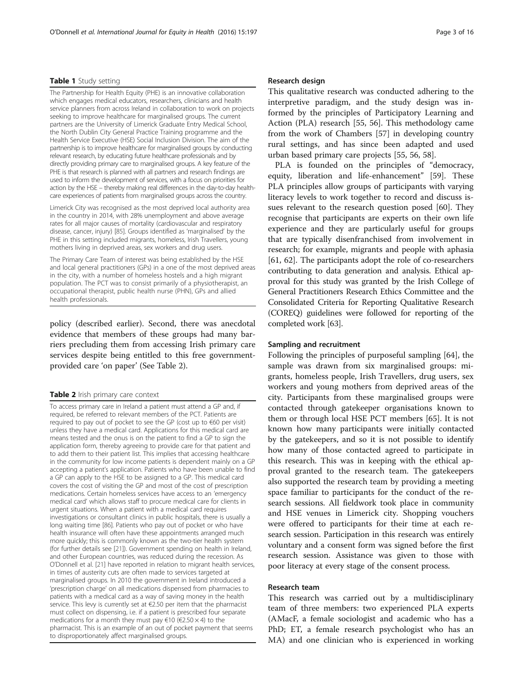#### <span id="page-2-0"></span>Table 1 Study setting

The Partnership for Health Equity (PHE) is an innovative collaboration which engages medical educators, researchers, clinicians and health service planners from across Ireland in collaboration to work on projects seeking to improve healthcare for marginalised groups. The current partners are the University of Limerick Graduate Entry Medical School, the North Dublin City General Practice Training programme and the Health Service Executive (HSE) Social Inclusion Division. The aim of the partnership is to improve healthcare for marginalised groups by conducting relevant research, by educating future healthcare professionals and by directly providing primary care to marginalised groups. A key feature of the PHE is that research is planned with all partners and research findings are used to inform the development of services, with a focus on priorities for action by the HSE – thereby making real differences in the day-to-day healthcare experiences of patients from marginalised groups across the country.

Limerick City was recognised as the most deprived local authority area in the country in 2014, with 28% unemployment and above average rates for all major causes of mortality (cardiovascular and respiratory disease, cancer, injury) [\[85\]](#page-15-0). Groups identified as 'marginalised' by the PHE in this setting included migrants, homeless, Irish Travellers, young mothers living in deprived areas, sex workers and drug users.

The Primary Care Team of interest was being established by the HSE and local general practitioners (GPs) in a one of the most deprived areas in the city, with a number of homeless hostels and a high migrant population. The PCT was to consist primarily of a physiotherapist, an occupational therapist, public health nurse (PHN), GPs and allied health professionals.

policy (described earlier). Second, there was anecdotal evidence that members of these groups had many barriers precluding them from accessing Irish primary care services despite being entitled to this free governmentprovided care 'on paper' (See Table 2).

#### Table 2 Irish primary care context

To access primary care in Ireland a patient must attend a GP and, if required, be referred to relevant members of the PCT. Patients are required to pay out of pocket to see the GP (cost up to €60 per visit) unless they have a medical card. Applications for this medical card are means tested and the onus is on the patient to find a GP to sign the application form, thereby agreeing to provide care for that patient and to add them to their patient list. This implies that accessing healthcare in the community for low income patients is dependent mainly on a GP accepting a patient's application. Patients who have been unable to find a GP can apply to the HSE to be assigned to a GP. This medical card covers the cost of visiting the GP and most of the cost of prescription medications. Certain homeless services have access to an 'emergency medical card' which allows staff to procure medical care for clients in urgent situations. When a patient with a medical card requires investigations or consultant clinics in public hospitals, there is usually a long waiting time [\[86](#page-15-0)]. Patients who pay out of pocket or who have health insurance will often have these appointments arranged much more quickly; this is commonly known as the two-tier health system (for further details see [\[21\]](#page-14-0)). Government spending on health in Ireland, and other European countries, was reduced during the recession. As O'Donnell et al. [\[21](#page-14-0)] have reported in relation to migrant health services, in times of austerity cuts are often made to services targeted at marginalised groups. In 2010 the government in Ireland introduced a 'prescription charge' on all medications dispensed from pharmacies to patients with a medical card as a way of saving money in the health service. This levy is currently set at €2.50 per item that the pharmacist must collect on dispensing, i.e. if a patient is prescribed four separate medications for a month they must pay  $\in$ 10 ( $\in$ 2.50  $\times$  4) to the pharmacist. This is an example of an out of pocket payment that seems to disproportionately affect marginalised groups.

#### Research design

This qualitative research was conducted adhering to the interpretive paradigm, and the study design was informed by the principles of Participatory Learning and Action (PLA) research [[55](#page-15-0), [56\]](#page-15-0). This methodology came from the work of Chambers [\[57](#page-15-0)] in developing country rural settings, and has since been adapted and used urban based primary care projects [[55, 56, 58\]](#page-15-0).

PLA is founded on the principles of "democracy, equity, liberation and life-enhancement" [[59\]](#page-15-0). These PLA principles allow groups of participants with varying literacy levels to work together to record and discuss issues relevant to the research question posed [\[60\]](#page-15-0). They recognise that participants are experts on their own life experience and they are particularly useful for groups that are typically disenfranchised from involvement in research; for example, migrants and people with aphasia [[61, 62\]](#page-15-0). The participants adopt the role of co-researchers contributing to data generation and analysis. Ethical approval for this study was granted by the Irish College of General Practitioners Research Ethics Committee and the Consolidated Criteria for Reporting Qualitative Research (COREQ) guidelines were followed for reporting of the completed work [\[63\]](#page-15-0).

#### Sampling and recruitment

Following the principles of purposeful sampling [\[64](#page-15-0)], the sample was drawn from six marginalised groups: migrants, homeless people, Irish Travellers, drug users, sex workers and young mothers from deprived areas of the city. Participants from these marginalised groups were contacted through gatekeeper organisations known to them or through local HSE PCT members [\[65\]](#page-15-0). It is not known how many participants were initially contacted by the gatekeepers, and so it is not possible to identify how many of those contacted agreed to participate in this research. This was in keeping with the ethical approval granted to the research team. The gatekeepers also supported the research team by providing a meeting space familiar to participants for the conduct of the research sessions. All fieldwork took place in community and HSE venues in Limerick city. Shopping vouchers were offered to participants for their time at each research session. Participation in this research was entirely voluntary and a consent form was signed before the first research session. Assistance was given to those with poor literacy at every stage of the consent process.

#### Research team

This research was carried out by a multidisciplinary team of three members: two experienced PLA experts (AMacF, a female sociologist and academic who has a PhD; ET, a female research psychologist who has an MA) and one clinician who is experienced in working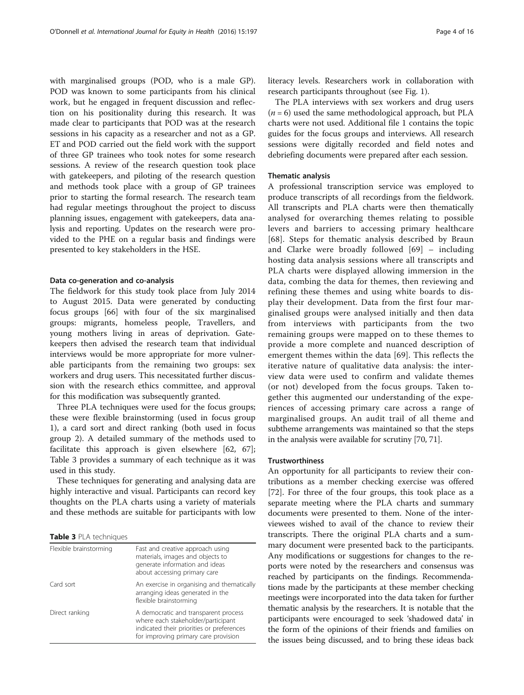with marginalised groups (POD, who is a male GP). POD was known to some participants from his clinical work, but he engaged in frequent discussion and reflection on his positionality during this research. It was made clear to participants that POD was at the research sessions in his capacity as a researcher and not as a GP. ET and POD carried out the field work with the support of three GP trainees who took notes for some research sessions. A review of the research question took place with gatekeepers, and piloting of the research question and methods took place with a group of GP trainees prior to starting the formal research. The research team had regular meetings throughout the project to discuss planning issues, engagement with gatekeepers, data analysis and reporting. Updates on the research were provided to the PHE on a regular basis and findings were presented to key stakeholders in the HSE.

## Data co-generation and co-analysis

The fieldwork for this study took place from July 2014 to August 2015. Data were generated by conducting focus groups [[66](#page-15-0)] with four of the six marginalised groups: migrants, homeless people, Travellers, and young mothers living in areas of deprivation. Gatekeepers then advised the research team that individual interviews would be more appropriate for more vulnerable participants from the remaining two groups: sex workers and drug users. This necessitated further discussion with the research ethics committee, and approval for this modification was subsequently granted.

Three PLA techniques were used for the focus groups; these were flexible brainstorming (used in focus group 1), a card sort and direct ranking (both used in focus group 2). A detailed summary of the methods used to facilitate this approach is given elsewhere [\[62](#page-15-0), [67](#page-15-0)]; Table 3 provides a summary of each technique as it was used in this study.

These techniques for generating and analysing data are highly interactive and visual. Participants can record key thoughts on the PLA charts using a variety of materials and these methods are suitable for participants with low

## Table 3 PLA techniques

| Flexible brainstorming | Fast and creative approach using<br>materials, images and objects to<br>generate information and ideas<br>about accessing primary care                          |
|------------------------|-----------------------------------------------------------------------------------------------------------------------------------------------------------------|
| Card sort              | An exercise in organising and thematically<br>arranging ideas generated in the<br>flexible brainstorming                                                        |
| Direct ranking         | A democratic and transparent process<br>where each stakeholder/participant<br>indicated their priorities or preferences<br>for improving primary care provision |

literacy levels. Researchers work in collaboration with research participants throughout (see Fig. [1\)](#page-4-0).

The PLA interviews with sex workers and drug users  $(n = 6)$  used the same methodological approach, but PLA charts were not used. Additional file [1](#page-13-0) contains the topic guides for the focus groups and interviews. All research sessions were digitally recorded and field notes and debriefing documents were prepared after each session.

## Thematic analysis

A professional transcription service was employed to produce transcripts of all recordings from the fieldwork. All transcripts and PLA charts were then thematically analysed for overarching themes relating to possible levers and barriers to accessing primary healthcare [[68](#page-15-0)]. Steps for thematic analysis described by Braun and Clarke were broadly followed [[69\]](#page-15-0) – including hosting data analysis sessions where all transcripts and PLA charts were displayed allowing immersion in the data, combing the data for themes, then reviewing and refining these themes and using white boards to display their development. Data from the first four marginalised groups were analysed initially and then data from interviews with participants from the two remaining groups were mapped on to these themes to provide a more complete and nuanced description of emergent themes within the data [[69](#page-15-0)]. This reflects the iterative nature of qualitative data analysis: the interview data were used to confirm and validate themes (or not) developed from the focus groups. Taken together this augmented our understanding of the experiences of accessing primary care across a range of marginalised groups. An audit trail of all theme and subtheme arrangements was maintained so that the steps in the analysis were available for scrutiny [[70](#page-15-0), [71\]](#page-15-0).

#### Trustworthiness

An opportunity for all participants to review their contributions as a member checking exercise was offered [[72\]](#page-15-0). For three of the four groups, this took place as a separate meeting where the PLA charts and summary documents were presented to them. None of the interviewees wished to avail of the chance to review their transcripts. There the original PLA charts and a summary document were presented back to the participants. Any modifications or suggestions for changes to the reports were noted by the researchers and consensus was reached by participants on the findings. Recommendations made by the participants at these member checking meetings were incorporated into the data taken for further thematic analysis by the researchers. It is notable that the participants were encouraged to seek 'shadowed data' in the form of the opinions of their friends and families on the issues being discussed, and to bring these ideas back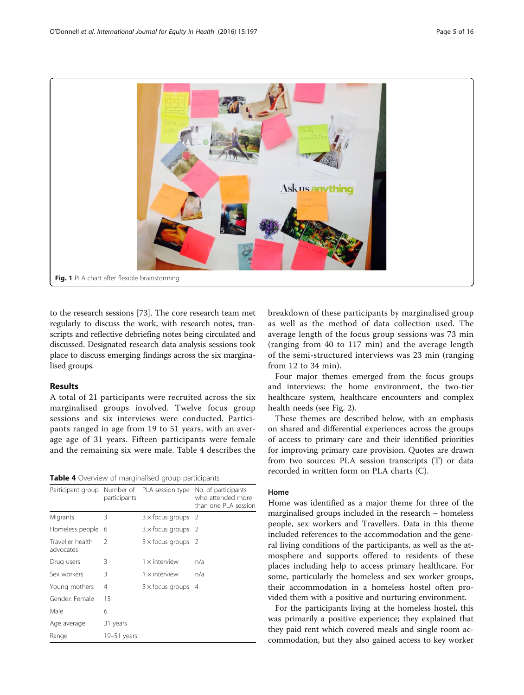<span id="page-4-0"></span>

to the research sessions [\[73\]](#page-15-0). The core research team met regularly to discuss the work, with research notes, transcripts and reflective debriefing notes being circulated and discussed. Designated research data analysis sessions took place to discuss emerging findings across the six marginalised groups.

## Results

A total of 21 participants were recruited across the six marginalised groups involved. Twelve focus group sessions and six interviews were conducted. Participants ranged in age from 19 to 51 years, with an average age of 31 years. Fifteen participants were female and the remaining six were male. Table 4 describes the

|  |  | Table 4 Overview of marginalised group participants |
|--|--|-----------------------------------------------------|
|--|--|-----------------------------------------------------|

| Participant group Number of PLA session type | participants   |                           | No. of participants<br>who attended more<br>than one PLA session |
|----------------------------------------------|----------------|---------------------------|------------------------------------------------------------------|
| Migrants                                     | 3              | $3 \times$ focus groups 2 |                                                                  |
| Homeless people                              | 6              | $3 \times$ focus groups 2 |                                                                  |
| Traveller health<br>advocates                | $\mathfrak{D}$ | $3 \times$ focus groups 2 |                                                                  |
| Drug users                                   | 3              | $1 \times$ interview      | n/a                                                              |
| Sex workers                                  | 3              | $1 \times$ interview      | n/a                                                              |
| Young mothers                                | 4              | $3 \times$ focus groups   | -4                                                               |
| Gender: Female                               | 15             |                           |                                                                  |
| Male                                         | 6              |                           |                                                                  |
| Age average                                  | 31 years       |                           |                                                                  |
| Range                                        | 19-51 years    |                           |                                                                  |

breakdown of these participants by marginalised group as well as the method of data collection used. The average length of the focus group sessions was 73 min (ranging from 40 to 117 min) and the average length of the semi-structured interviews was 23 min (ranging from 12 to 34 min).

Four major themes emerged from the focus groups and interviews: the home environment, the two-tier healthcare system, healthcare encounters and complex health needs (see Fig. [2](#page-5-0)).

These themes are described below, with an emphasis on shared and differential experiences across the groups of access to primary care and their identified priorities for improving primary care provision. Quotes are drawn from two sources: PLA session transcripts (T) or data recorded in written form on PLA charts (C).

## Home

Home was identified as a major theme for three of the marginalised groups included in the research – homeless people, sex workers and Travellers. Data in this theme included references to the accommodation and the general living conditions of the participants, as well as the atmosphere and supports offered to residents of these places including help to access primary healthcare. For some, particularly the homeless and sex worker groups, their accommodation in a homeless hostel often provided them with a positive and nurturing environment.

For the participants living at the homeless hostel, this was primarily a positive experience; they explained that they paid rent which covered meals and single room accommodation, but they also gained access to key worker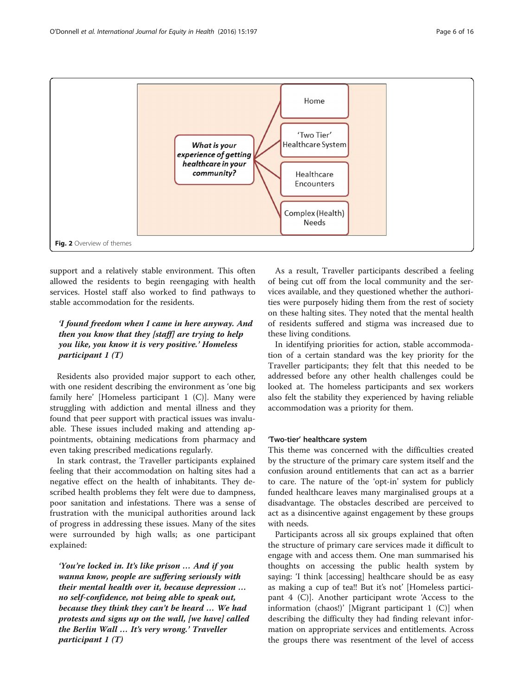<span id="page-5-0"></span>

support and a relatively stable environment. This often allowed the residents to begin reengaging with health services. Hostel staff also worked to find pathways to stable accommodation for the residents.

# 'I found freedom when I came in here anyway. And then you know that they [staff] are trying to help you like, you know it is very positive.' Homeless participant 1 (T)

Residents also provided major support to each other, with one resident describing the environment as 'one big family here' [Homeless participant 1 (C)]. Many were struggling with addiction and mental illness and they found that peer support with practical issues was invaluable. These issues included making and attending appointments, obtaining medications from pharmacy and even taking prescribed medications regularly.

In stark contrast, the Traveller participants explained feeling that their accommodation on halting sites had a negative effect on the health of inhabitants. They described health problems they felt were due to dampness, poor sanitation and infestations. There was a sense of frustration with the municipal authorities around lack of progress in addressing these issues. Many of the sites were surrounded by high walls; as one participant explained:

'You're locked in. It's like prison … And if you wanna know, people are suffering seriously with their mental health over it, because depression … no self-confidence, not being able to speak out, because they think they can't be heard … We had protests and signs up on the wall, [we have] called the Berlin Wall … It's very wrong.' Traveller participant 1 (T)

As a result, Traveller participants described a feeling of being cut off from the local community and the services available, and they questioned whether the authorities were purposely hiding them from the rest of society on these halting sites. They noted that the mental health of residents suffered and stigma was increased due to these living conditions.

In identifying priorities for action, stable accommodation of a certain standard was the key priority for the Traveller participants; they felt that this needed to be addressed before any other health challenges could be looked at. The homeless participants and sex workers also felt the stability they experienced by having reliable accommodation was a priority for them.

## 'Two-tier' healthcare system

This theme was concerned with the difficulties created by the structure of the primary care system itself and the confusion around entitlements that can act as a barrier to care. The nature of the 'opt-in' system for publicly funded healthcare leaves many marginalised groups at a disadvantage. The obstacles described are perceived to act as a disincentive against engagement by these groups with needs.

Participants across all six groups explained that often the structure of primary care services made it difficult to engage with and access them. One man summarised his thoughts on accessing the public health system by saying: 'I think [accessing] healthcare should be as easy as making a cup of tea!! But it's not' [Homeless participant 4 (C)]. Another participant wrote 'Access to the information (chaos!)' [Migrant participant 1 (C)] when describing the difficulty they had finding relevant information on appropriate services and entitlements. Across the groups there was resentment of the level of access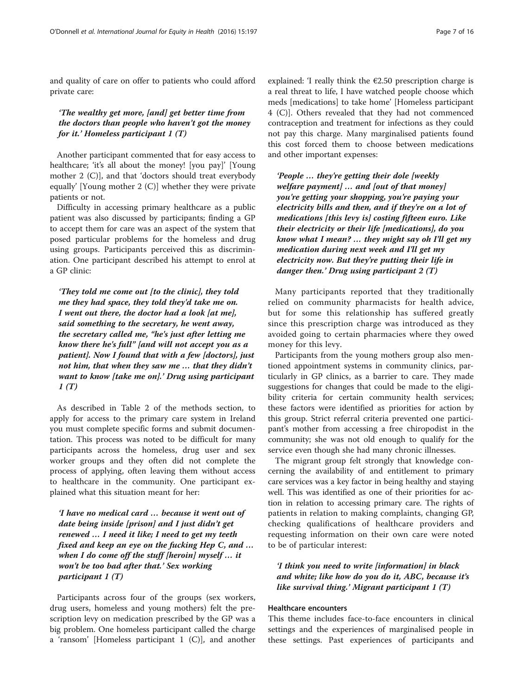and quality of care on offer to patients who could afford private care:

## 'The wealthy get more, [and] get better time from the doctors than people who haven't got the money for it.' Homeless participant  $1(T)$

Another participant commented that for easy access to healthcare; 'it's all about the money! [you pay]' [Young mother 2 (C)], and that 'doctors should treat everybody equally' [Young mother 2 (C)] whether they were private patients or not.

Difficulty in accessing primary healthcare as a public patient was also discussed by participants; finding a GP to accept them for care was an aspect of the system that posed particular problems for the homeless and drug using groups. Participants perceived this as discrimination. One participant described his attempt to enrol at a GP clinic:

'They told me come out [to the clinic], they told me they had space, they told they'd take me on. I went out there, the doctor had a look [at me], said something to the secretary, he went away, the secretary called me, "he's just after letting me know there he's full" [and will not accept you as a patient]. Now I found that with a few [doctors], just not him, that when they saw me … that they didn't want to know [take me on].' Drug using participant  $1(T)$ 

As described in Table [2](#page-2-0) of the methods section, to apply for access to the primary care system in Ireland you must complete specific forms and submit documentation. This process was noted to be difficult for many participants across the homeless, drug user and sex worker groups and they often did not complete the process of applying, often leaving them without access to healthcare in the community. One participant explained what this situation meant for her:

'I have no medical card … because it went out of date being inside [prison] and I just didn't get renewed … I need it like; I need to get my teeth fixed and keep an eye on the fucking Hep C, and … when I do come off the stuff [heroin] myself ... it won't be too bad after that.' Sex working participant 1 (T)

Participants across four of the groups (sex workers, drug users, homeless and young mothers) felt the prescription levy on medication prescribed by the GP was a big problem. One homeless participant called the charge a 'ransom' [Homeless participant 1 (C)], and another

explained: 'I really think the  $E2.50$  prescription charge is a real threat to life, I have watched people choose which meds [medications] to take home' [Homeless participant 4 (C)]. Others revealed that they had not commenced contraception and treatment for infections as they could not pay this charge. Many marginalised patients found this cost forced them to choose between medications and other important expenses:

'People … they're getting their dole [weekly welfare payment] ... and [out of that money] you're getting your shopping, you're paying your electricity bills and then, and if they're on a lot of medications [this levy is] costing fifteen euro. Like their electricity or their life [medications], do you know what I mean? ... they might say oh I'll get my medication during next week and I'll get my electricity now. But they're putting their life in danger then.' Drug using participant  $2(T)$ 

Many participants reported that they traditionally relied on community pharmacists for health advice, but for some this relationship has suffered greatly since this prescription charge was introduced as they avoided going to certain pharmacies where they owed money for this levy.

Participants from the young mothers group also mentioned appointment systems in community clinics, particularly in GP clinics, as a barrier to care. They made suggestions for changes that could be made to the eligibility criteria for certain community health services; these factors were identified as priorities for action by this group. Strict referral criteria prevented one participant's mother from accessing a free chiropodist in the community; she was not old enough to qualify for the service even though she had many chronic illnesses.

The migrant group felt strongly that knowledge concerning the availability of and entitlement to primary care services was a key factor in being healthy and staying well. This was identified as one of their priorities for action in relation to accessing primary care. The rights of patients in relation to making complaints, changing GP, checking qualifications of healthcare providers and requesting information on their own care were noted to be of particular interest:

# 'I think you need to write [information] in black and white; like how do you do it, ABC, because it's like survival thing.' Migrant participant  $1(T)$

#### Healthcare encounters

This theme includes face-to-face encounters in clinical settings and the experiences of marginalised people in these settings. Past experiences of participants and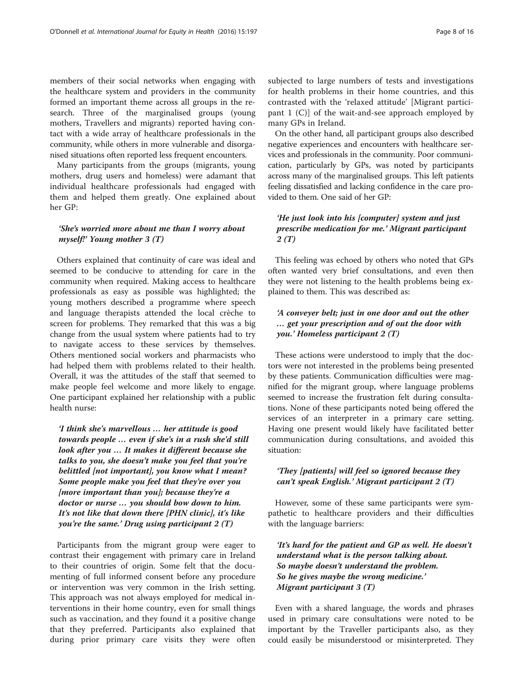members of their social networks when engaging with the healthcare system and providers in the community formed an important theme across all groups in the research. Three of the marginalised groups (young mothers, Travellers and migrants) reported having contact with a wide array of healthcare professionals in the community, while others in more vulnerable and disorganised situations often reported less frequent encounters.

Many participants from the groups (migrants, young mothers, drug users and homeless) were adamant that individual healthcare professionals had engaged with them and helped them greatly. One explained about her GP:

## 'She's worried more about me than I worry about myself!' Young mother 3 (T)

Others explained that continuity of care was ideal and seemed to be conducive to attending for care in the community when required. Making access to healthcare professionals as easy as possible was highlighted; the young mothers described a programme where speech and language therapists attended the local crèche to screen for problems. They remarked that this was a big change from the usual system where patients had to try to navigate access to these services by themselves. Others mentioned social workers and pharmacists who had helped them with problems related to their health. Overall, it was the attitudes of the staff that seemed to make people feel welcome and more likely to engage. One participant explained her relationship with a public health nurse:

'I think she's marvellous … her attitude is good towards people … even if she's in a rush she'd still look after you … It makes it different because she talks to you, she doesn't make you feel that you're belittled [not important], you know what I mean? Some people make you feel that they're over you [more important than you]; because they're a doctor or nurse … you should bow down to him. It's not like that down there [PHN clinic], it's like you're the same.' Drug using participant  $2(T)$ 

Participants from the migrant group were eager to contrast their engagement with primary care in Ireland to their countries of origin. Some felt that the documenting of full informed consent before any procedure or intervention was very common in the Irish setting. This approach was not always employed for medical interventions in their home country, even for small things such as vaccination, and they found it a positive change that they preferred. Participants also explained that during prior primary care visits they were often subjected to large numbers of tests and investigations for health problems in their home countries, and this contrasted with the 'relaxed attitude' [Migrant participant 1 (C)] of the wait-and-see approach employed by many GPs in Ireland.

On the other hand, all participant groups also described negative experiences and encounters with healthcare services and professionals in the community. Poor communication, particularly by GPs, was noted by participants across many of the marginalised groups. This left patients feeling dissatisfied and lacking confidence in the care provided to them. One said of her GP:

# 'He just look into his [computer] system and just prescribe medication for me.' Migrant participant 2 (T)

This feeling was echoed by others who noted that GPs often wanted very brief consultations, and even then they were not listening to the health problems being explained to them. This was described as:

# 'A conveyer belt; just in one door and out the other … get your prescription and of out the door with you.' Homeless participant 2 (T)

These actions were understood to imply that the doctors were not interested in the problems being presented by these patients. Communication difficulties were magnified for the migrant group, where language problems seemed to increase the frustration felt during consultations. None of these participants noted being offered the services of an interpreter in a primary care setting. Having one present would likely have facilitated better communication during consultations, and avoided this situation:

# 'They [patients] will feel so ignored because they can't speak English.' Migrant participant 2 (T)

However, some of these same participants were sympathetic to healthcare providers and their difficulties with the language barriers:

'It's hard for the patient and GP as well. He doesn't understand what is the person talking about. So maybe doesn't understand the problem. So he gives maybe the wrong medicine.' Migrant participant 3 (T)

Even with a shared language, the words and phrases used in primary care consultations were noted to be important by the Traveller participants also, as they could easily be misunderstood or misinterpreted. They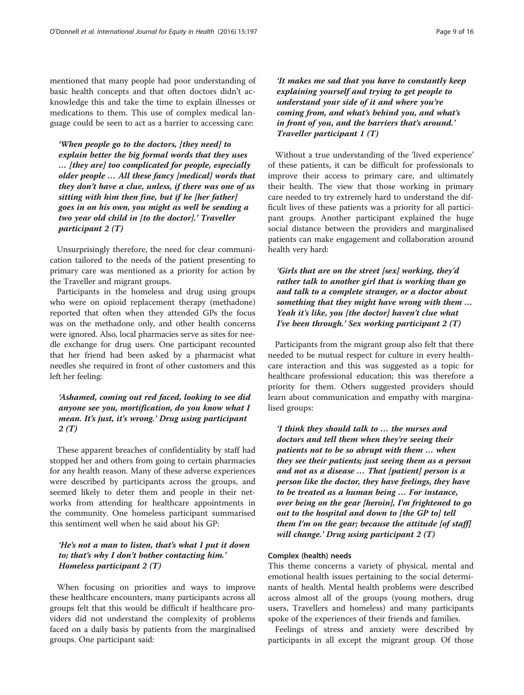mentioned that many people had poor understanding of basic health concepts and that often doctors didn't acknowledge this and take the time to explain illnesses or medications to them. This use of complex medical language could be seen to act as a barrier to accessing care:

'When people go to the doctors, [they need] to explain better the big formal words that they uses … [they are] too complicated for people, especially older people … All these fancy [medical] words that they don't have a clue, unless, if there was one of us sitting with him then fine, but if he [her father] goes in on his own, you might as well be sending a two year old child in [to the doctor].' Traveller participant 2 (T)

Unsurprisingly therefore, the need for clear communication tailored to the needs of the patient presenting to primary care was mentioned as a priority for action by the Traveller and migrant groups.

Participants in the homeless and drug using groups who were on opioid replacement therapy (methadone) reported that often when they attended GPs the focus was on the methadone only, and other health concerns were ignored. Also, local pharmacies serve as sites for needle exchange for drug users. One participant recounted that her friend had been asked by a pharmacist what needles she required in front of other customers and this left her feeling:

# 'Ashamed, coming out red faced, looking to see did anyone see you, mortification, do you know what I mean. It's just, it's wrong.' Drug using participant 2 (T)

These apparent breaches of confidentiality by staff had stopped her and others from going to certain pharmacies for any health reason. Many of these adverse experiences were described by participants across the groups, and seemed likely to deter them and people in their networks from attending for healthcare appointments in the community. One homeless participant summarised this sentiment well when he said about his GP:

# 'He's not a man to listen, that's what I put it down to; that's why I don't bother contacting him.' Homeless participant 2 (T)

When focusing on priorities and ways to improve these healthcare encounters, many participants across all groups felt that this would be difficult if healthcare providers did not understand the complexity of problems faced on a daily basis by patients from the marginalised groups. One participant said:

# 'It makes me sad that you have to constantly keep explaining yourself and trying to get people to understand your side of it and where you're coming from, and what's behind you, and what's in front of you, and the barriers that's around.' Traveller participant 1 (T)

Without a true understanding of the 'lived experience' of these patients, it can be difficult for professionals to improve their access to primary care, and ultimately their health. The view that those working in primary care needed to try extremely hard to understand the difficult lives of these patients was a priority for all participant groups. Another participant explained the huge social distance between the providers and marginalised patients can make engagement and collaboration around health very hard:

'Girls that are on the street [sex] working, they'd rather talk to another girl that is working than go and talk to a complete stranger, or a doctor about something that they might have wrong with them … Yeah it's like, you [the doctor] haven't clue what I've been through.' Sex working participant  $2(T)$ 

Participants from the migrant group also felt that there needed to be mutual respect for culture in every healthcare interaction and this was suggested as a topic for healthcare professional education; this was therefore a priority for them. Others suggested providers should learn about communication and empathy with marginalised groups:

'I think they should talk to … the nurses and doctors and tell them when they're seeing their patients not to be so abrupt with them … when they see their patients; just seeing them as a person and not as a disease … That [patient] person is a person like the doctor, they have feelings, they have to be treated as a human being … For instance, over being on the gear [heroin], I'm frightened to go out to the hospital and down to [the GP to] tell them I'm on the gear; because the attitude [of staff] will change.' Drug using participant 2 (T)

#### Complex (health) needs

This theme concerns a variety of physical, mental and emotional health issues pertaining to the social determinants of health. Mental health problems were described across almost all of the groups (young mothers, drug users, Travellers and homeless) and many participants spoke of the experiences of their friends and families.

Feelings of stress and anxiety were described by participants in all except the migrant group. Of those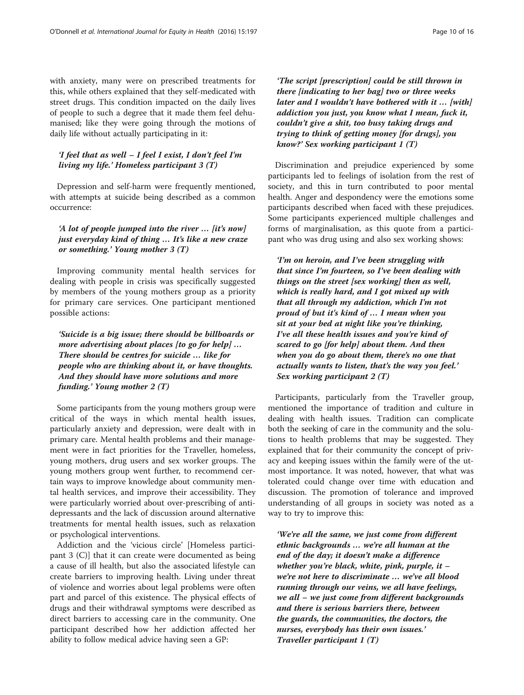with anxiety, many were on prescribed treatments for this, while others explained that they self-medicated with street drugs. This condition impacted on the daily lives of people to such a degree that it made them feel dehumanised; like they were going through the motions of daily life without actually participating in it:

## 'I feel that as well – I feel I exist, I don't feel I'm living my life.' Homeless participant 3 (T)

Depression and self-harm were frequently mentioned, with attempts at suicide being described as a common occurrence:

# 'A lot of people jumped into the river … [it's now] just everyday kind of thing … It's like a new craze or something.' Young mother 3 (T)

Improving community mental health services for dealing with people in crisis was specifically suggested by members of the young mothers group as a priority for primary care services. One participant mentioned possible actions:

'Suicide is a big issue; there should be billboards or more advertising about places [to go for help] ... There should be centres for suicide … like for people who are thinking about it, or have thoughts. And they should have more solutions and more funding.' Young mother 2 (T)

Some participants from the young mothers group were critical of the ways in which mental health issues, particularly anxiety and depression, were dealt with in primary care. Mental health problems and their management were in fact priorities for the Traveller, homeless, young mothers, drug users and sex worker groups. The young mothers group went further, to recommend certain ways to improve knowledge about community mental health services, and improve their accessibility. They were particularly worried about over-prescribing of antidepressants and the lack of discussion around alternative treatments for mental health issues, such as relaxation or psychological interventions.

Addiction and the 'vicious circle' [Homeless participant 3 (C)] that it can create were documented as being a cause of ill health, but also the associated lifestyle can create barriers to improving health. Living under threat of violence and worries about legal problems were often part and parcel of this existence. The physical effects of drugs and their withdrawal symptoms were described as direct barriers to accessing care in the community. One participant described how her addiction affected her ability to follow medical advice having seen a GP:

'The script [prescription] could be still thrown in there [indicating to her bag] two or three weeks later and I wouldn't have bothered with it ... [with] addiction you just, you know what I mean, fuck it, couldn't give a shit, too busy taking drugs and trying to think of getting money [for drugs], you know?' Sex working participant 1 (T)

Discrimination and prejudice experienced by some participants led to feelings of isolation from the rest of society, and this in turn contributed to poor mental health. Anger and despondency were the emotions some participants described when faced with these prejudices. Some participants experienced multiple challenges and forms of marginalisation, as this quote from a participant who was drug using and also sex working shows:

'I'm on heroin, and I've been struggling with that since I'm fourteen, so I've been dealing with things on the street [sex working] then as well, which is really hard, and I got mixed up with that all through my addiction, which I'm not proud of but it's kind of … I mean when you sit at your bed at night like you're thinking, I've all these health issues and you're kind of scared to go [for help] about them. And then when you do go about them, there's no one that actually wants to listen, that's the way you feel.' Sex working participant 2 (T)

Participants, particularly from the Traveller group, mentioned the importance of tradition and culture in dealing with health issues. Tradition can complicate both the seeking of care in the community and the solutions to health problems that may be suggested. They explained that for their community the concept of privacy and keeping issues within the family were of the utmost importance. It was noted, however, that what was tolerated could change over time with education and discussion. The promotion of tolerance and improved understanding of all groups in society was noted as a way to try to improve this:

'We're all the same, we just come from different ethnic backgrounds … we're all human at the end of the day; it doesn't make a difference whether you're black, white, pink, purple, it we're not here to discriminate … we've all blood running through our veins, we all have feelings, we all – we just come from different backgrounds and there is serious barriers there, between the guards, the communities, the doctors, the nurses, everybody has their own issues.' Traveller participant 1 (T)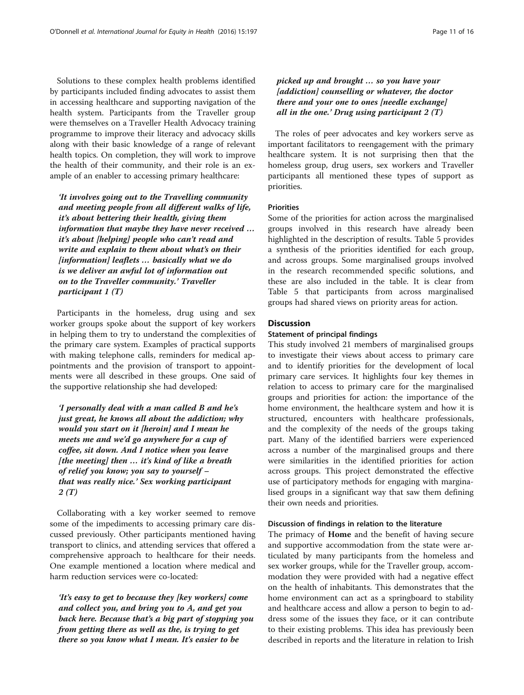Solutions to these complex health problems identified by participants included finding advocates to assist them in accessing healthcare and supporting navigation of the health system. Participants from the Traveller group were themselves on a Traveller Health Advocacy training programme to improve their literacy and advocacy skills along with their basic knowledge of a range of relevant health topics. On completion, they will work to improve the health of their community, and their role is an example of an enabler to accessing primary healthcare:

'It involves going out to the Travelling community and meeting people from all different walks of life, it's about bettering their health, giving them information that maybe they have never received … it's about [helping] people who can't read and write and explain to them about what's on their [information] leaflets ... basically what we do is we deliver an awful lot of information out on to the Traveller community.' Traveller participant 1 (T)

Participants in the homeless, drug using and sex worker groups spoke about the support of key workers in helping them to try to understand the complexities of the primary care system. Examples of practical supports with making telephone calls, reminders for medical appointments and the provision of transport to appointments were all described in these groups. One said of the supportive relationship she had developed:

'I personally deal with a man called B and he's just great, he knows all about the addiction; why would you start on it [heroin] and I mean he meets me and we'd go anywhere for a cup of coffee, sit down. And I notice when you leave [the meeting] then  $\ldots$  it's kind of like a breath of relief you know; you say to yourself – that was really nice.' Sex working participant 2 (T)

Collaborating with a key worker seemed to remove some of the impediments to accessing primary care discussed previously. Other participants mentioned having transport to clinics, and attending services that offered a comprehensive approach to healthcare for their needs. One example mentioned a location where medical and harm reduction services were co-located:

'It's easy to get to because they [key workers] come and collect you, and bring you to A, and get you back here. Because that's a big part of stopping you from getting there as well as the, is trying to get there so you know what I mean. It's easier to be

# picked up and brought … so you have your [addiction] counselling or whatever, the doctor there and your one to ones [needle exchange] all in the one.' Drug using participant  $2(T)$

The roles of peer advocates and key workers serve as important facilitators to reengagement with the primary healthcare system. It is not surprising then that the homeless group, drug users, sex workers and Traveller participants all mentioned these types of support as priorities.

#### **Priorities**

Some of the priorities for action across the marginalised groups involved in this research have already been highlighted in the description of results. Table [5](#page-11-0) provides a synthesis of the priorities identified for each group, and across groups. Some marginalised groups involved in the research recommended specific solutions, and these are also included in the table. It is clear from Table [5](#page-11-0) that participants from across marginalised groups had shared views on priority areas for action.

## **Discussion**

## Statement of principal findings

This study involved 21 members of marginalised groups to investigate their views about access to primary care and to identify priorities for the development of local primary care services. It highlights four key themes in relation to access to primary care for the marginalised groups and priorities for action: the importance of the home environment, the healthcare system and how it is structured, encounters with healthcare professionals, and the complexity of the needs of the groups taking part. Many of the identified barriers were experienced across a number of the marginalised groups and there were similarities in the identified priorities for action across groups. This project demonstrated the effective use of participatory methods for engaging with marginalised groups in a significant way that saw them defining their own needs and priorities.

# Discussion of findings in relation to the literature

The primacy of **Home** and the benefit of having secure and supportive accommodation from the state were articulated by many participants from the homeless and sex worker groups, while for the Traveller group, accommodation they were provided with had a negative effect on the health of inhabitants. This demonstrates that the home environment can act as a springboard to stability and healthcare access and allow a person to begin to address some of the issues they face, or it can contribute to their existing problems. This idea has previously been described in reports and the literature in relation to Irish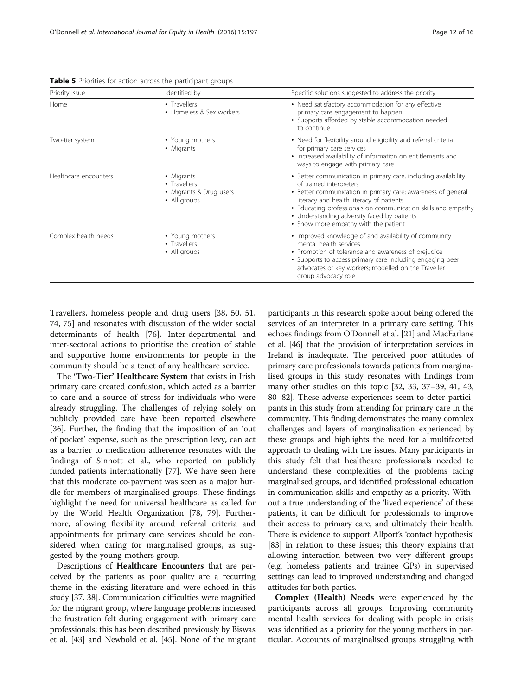| Priority Issue        | Identified by                                                         | Specific solutions suggested to address the priority                                                                                                                                                                                                                                                                                                          |
|-----------------------|-----------------------------------------------------------------------|---------------------------------------------------------------------------------------------------------------------------------------------------------------------------------------------------------------------------------------------------------------------------------------------------------------------------------------------------------------|
| Home                  | • Travellers<br>• Homeless & Sex workers                              | • Need satisfactory accommodation for any effective<br>primary care engagement to happen<br>• Supports afforded by stable accommodation needed<br>to continue                                                                                                                                                                                                 |
| Two-tier system       | • Young mothers<br>• Migrants                                         | • Need for flexibility around eligibility and referral criteria<br>for primary care services<br>• Increased availability of information on entitlements and<br>ways to engage with primary care                                                                                                                                                               |
| Healthcare encounters | • Migrants<br>• Travellers<br>• Migrants & Drug users<br>• All groups | • Better communication in primary care, including availability<br>of trained interpreters<br>• Better communication in primary care; awareness of general<br>literacy and health literacy of patients<br>• Educating professionals on communication skills and empathy<br>• Understanding adversity faced by patients<br>• Show more empathy with the patient |
| Complex health needs  | • Young mothers<br>• Travellers<br>• All groups                       | • Improved knowledge of and availability of community<br>mental health services<br>• Promotion of tolerance and awareness of prejudice<br>• Supports to access primary care including engaging peer<br>advocates or key workers; modelled on the Traveller<br>group advocacy role                                                                             |

<span id="page-11-0"></span>Table 5 Priorities for action across the participant groups

Travellers, homeless people and drug users [\[38](#page-14-0), [50](#page-15-0), [51](#page-15-0), [74, 75\]](#page-15-0) and resonates with discussion of the wider social determinants of health [[76](#page-15-0)]. Inter-departmental and inter-sectoral actions to prioritise the creation of stable and supportive home environments for people in the community should be a tenet of any healthcare service.

The 'Two-Tier' Healthcare System that exists in Irish primary care created confusion, which acted as a barrier to care and a source of stress for individuals who were already struggling. The challenges of relying solely on publicly provided care have been reported elsewhere [[36\]](#page-14-0). Further, the finding that the imposition of an 'out of pocket' expense, such as the prescription levy, can act as a barrier to medication adherence resonates with the findings of Sinnott et al., who reported on publicly funded patients internationally [\[77](#page-15-0)]. We have seen here that this moderate co-payment was seen as a major hurdle for members of marginalised groups. These findings highlight the need for universal healthcare as called for by the World Health Organization [\[78, 79](#page-15-0)]. Furthermore, allowing flexibility around referral criteria and appointments for primary care services should be considered when caring for marginalised groups, as suggested by the young mothers group.

Descriptions of Healthcare Encounters that are perceived by the patients as poor quality are a recurring theme in the existing literature and were echoed in this study [\[37, 38\]](#page-14-0). Communication difficulties were magnified for the migrant group, where language problems increased the frustration felt during engagement with primary care professionals; this has been described previously by Biswas et al. [[43](#page-14-0)] and Newbold et al. [\[45\]](#page-15-0). None of the migrant participants in this research spoke about being offered the services of an interpreter in a primary care setting. This echoes findings from O'Donnell et al. [\[21\]](#page-14-0) and MacFarlane et al. [[46](#page-15-0)] that the provision of interpretation services in Ireland is inadequate. The perceived poor attitudes of primary care professionals towards patients from marginalised groups in this study resonates with findings from many other studies on this topic [\[32, 33, 37](#page-14-0)–[39, 41, 43](#page-14-0), [80](#page-15-0)–[82\]](#page-15-0). These adverse experiences seem to deter participants in this study from attending for primary care in the community. This finding demonstrates the many complex challenges and layers of marginalisation experienced by these groups and highlights the need for a multifaceted approach to dealing with the issues. Many participants in this study felt that healthcare professionals needed to understand these complexities of the problems facing marginalised groups, and identified professional education in communication skills and empathy as a priority. Without a true understanding of the 'lived experience' of these patients, it can be difficult for professionals to improve their access to primary care, and ultimately their health. There is evidence to support Allport's 'contact hypothesis' [[83](#page-15-0)] in relation to these issues; this theory explains that allowing interaction between two very different groups (e.g. homeless patients and trainee GPs) in supervised settings can lead to improved understanding and changed attitudes for both parties.

Complex (Health) Needs were experienced by the participants across all groups. Improving community mental health services for dealing with people in crisis was identified as a priority for the young mothers in particular. Accounts of marginalised groups struggling with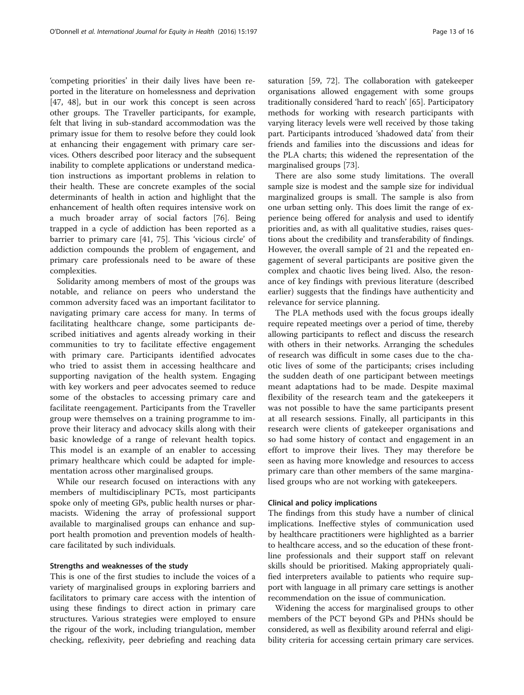'competing priorities' in their daily lives have been reported in the literature on homelessness and deprivation [[47, 48\]](#page-15-0), but in our work this concept is seen across other groups. The Traveller participants, for example, felt that living in sub-standard accommodation was the primary issue for them to resolve before they could look at enhancing their engagement with primary care services. Others described poor literacy and the subsequent inability to complete applications or understand medication instructions as important problems in relation to their health. These are concrete examples of the social determinants of health in action and highlight that the enhancement of health often requires intensive work on a much broader array of social factors [[76](#page-15-0)]. Being trapped in a cycle of addiction has been reported as a barrier to primary care [[41,](#page-14-0) [75\]](#page-15-0). This 'vicious circle' of addiction compounds the problem of engagement, and primary care professionals need to be aware of these complexities.

Solidarity among members of most of the groups was notable, and reliance on peers who understand the common adversity faced was an important facilitator to navigating primary care access for many. In terms of facilitating healthcare change, some participants described initiatives and agents already working in their communities to try to facilitate effective engagement with primary care. Participants identified advocates who tried to assist them in accessing healthcare and supporting navigation of the health system. Engaging with key workers and peer advocates seemed to reduce some of the obstacles to accessing primary care and facilitate reengagement. Participants from the Traveller group were themselves on a training programme to improve their literacy and advocacy skills along with their basic knowledge of a range of relevant health topics. This model is an example of an enabler to accessing primary healthcare which could be adapted for implementation across other marginalised groups.

While our research focused on interactions with any members of multidisciplinary PCTs, most participants spoke only of meeting GPs, public health nurses or pharmacists. Widening the array of professional support available to marginalised groups can enhance and support health promotion and prevention models of healthcare facilitated by such individuals.

#### Strengths and weaknesses of the study

This is one of the first studies to include the voices of a variety of marginalised groups in exploring barriers and facilitators to primary care access with the intention of using these findings to direct action in primary care structures. Various strategies were employed to ensure the rigour of the work, including triangulation, member checking, reflexivity, peer debriefing and reaching data saturation [\[59, 72](#page-15-0)]. The collaboration with gatekeeper organisations allowed engagement with some groups traditionally considered 'hard to reach' [\[65](#page-15-0)]. Participatory methods for working with research participants with varying literacy levels were well received by those taking part. Participants introduced 'shadowed data' from their friends and families into the discussions and ideas for the PLA charts; this widened the representation of the marginalised groups [\[73](#page-15-0)].

There are also some study limitations. The overall sample size is modest and the sample size for individual marginalized groups is small. The sample is also from one urban setting only. This does limit the range of experience being offered for analysis and used to identify priorities and, as with all qualitative studies, raises questions about the credibility and transferability of findings. However, the overall sample of 21 and the repeated engagement of several participants are positive given the complex and chaotic lives being lived. Also, the resonance of key findings with previous literature (described earlier) suggests that the findings have authenticity and relevance for service planning.

The PLA methods used with the focus groups ideally require repeated meetings over a period of time, thereby allowing participants to reflect and discuss the research with others in their networks. Arranging the schedules of research was difficult in some cases due to the chaotic lives of some of the participants; crises including the sudden death of one participant between meetings meant adaptations had to be made. Despite maximal flexibility of the research team and the gatekeepers it was not possible to have the same participants present at all research sessions. Finally, all participants in this research were clients of gatekeeper organisations and so had some history of contact and engagement in an effort to improve their lives. They may therefore be seen as having more knowledge and resources to access primary care than other members of the same marginalised groups who are not working with gatekeepers.

## Clinical and policy implications

The findings from this study have a number of clinical implications. Ineffective styles of communication used by healthcare practitioners were highlighted as a barrier to healthcare access, and so the education of these frontline professionals and their support staff on relevant skills should be prioritised. Making appropriately qualified interpreters available to patients who require support with language in all primary care settings is another recommendation on the issue of communication.

Widening the access for marginalised groups to other members of the PCT beyond GPs and PHNs should be considered, as well as flexibility around referral and eligibility criteria for accessing certain primary care services.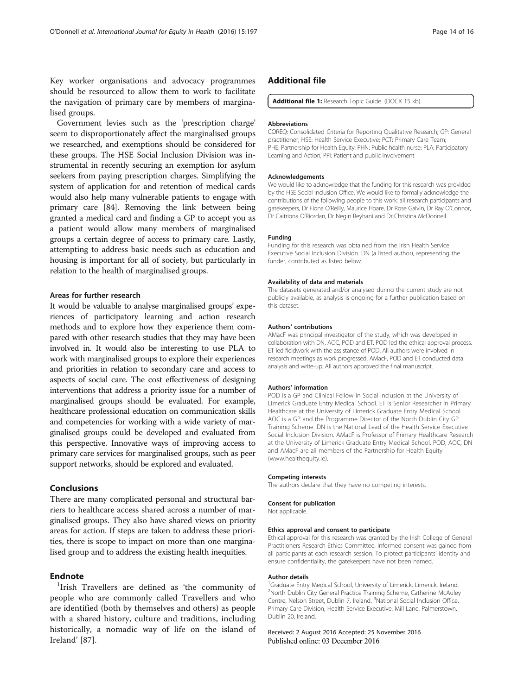<span id="page-13-0"></span>Key worker organisations and advocacy programmes should be resourced to allow them to work to facilitate the navigation of primary care by members of marginalised groups.

Government levies such as the 'prescription charge' seem to disproportionately affect the marginalised groups we researched, and exemptions should be considered for these groups. The HSE Social Inclusion Division was instrumental in recently securing an exemption for asylum seekers from paying prescription charges. Simplifying the system of application for and retention of medical cards would also help many vulnerable patients to engage with primary care [[84](#page-15-0)]. Removing the link between being granted a medical card and finding a GP to accept you as a patient would allow many members of marginalised groups a certain degree of access to primary care. Lastly, attempting to address basic needs such as education and housing is important for all of society, but particularly in relation to the health of marginalised groups.

## Areas for further research

It would be valuable to analyse marginalised groups' experiences of participatory learning and action research methods and to explore how they experience them compared with other research studies that they may have been involved in. It would also be interesting to use PLA to work with marginalised groups to explore their experiences and priorities in relation to secondary care and access to aspects of social care. The cost effectiveness of designing interventions that address a priority issue for a number of marginalised groups should be evaluated. For example, healthcare professional education on communication skills and competencies for working with a wide variety of marginalised groups could be developed and evaluated from this perspective. Innovative ways of improving access to primary care services for marginalised groups, such as peer support networks, should be explored and evaluated.

## Conclusions

There are many complicated personal and structural barriers to healthcare access shared across a number of marginalised groups. They also have shared views on priority areas for action. If steps are taken to address these priorities, there is scope to impact on more than one marginalised group and to address the existing health inequities.

## **Endnote**

<sup>1</sup>Irish Travellers are defined as 'the community of people who are commonly called Travellers and who are identified (both by themselves and others) as people with a shared history, culture and traditions, including historically, a nomadic way of life on the island of Ireland' [[87](#page-15-0)].

# Additional file

[Additional file 1:](dx.doi.org/10.1186/s12939-016-0487-5) Research Topic Guide. (DOCX 15 kb)

#### Abbreviations

COREQ: Consolidated Criteria for Reporting Qualitative Research; GP: General practitioner; HSE: Health Service Executive; PCT: Primary Care Team; PHE: Partnership for Health Equity; PHN: Public health nurse; PLA: Participatory Learning and Action; PPI: Patient and public involvement

#### Acknowledgements

We would like to acknowledge that the funding for this research was provided by the HSE Social Inclusion Office. We would like to formally acknowledge the contributions of the following people to this work: all research participants and gatekeepers, Dr Fiona O'Reilly, Maurice Hoare, Dr Rose Galvin, Dr Ray O'Connor, Dr Caitriona O'Riordan, Dr Negin Reyhani and Dr Christina McDonnell.

#### Funding

Funding for this research was obtained from the Irish Health Service Executive Social Inclusion Division. DN (a listed author), representing the funder, contributed as listed below.

#### Availability of data and materials

The datasets generated and/or analysed during the current study are not publicly available, as analysis is ongoing for a further publication based on this dataset.

#### Authors' contributions

AMacF was principal investigator of the study, which was developed in collaboration with DN, AOC, POD and ET. POD led the ethical approval process. ET led fieldwork with the assistance of POD. All authors were involved in research meetings as work progressed. AMacF, POD and ET conducted data analysis and write-up. All authors approved the final manuscript.

#### Authors' information

POD is a GP and Clinical Fellow in Social Inclusion at the University of Limerick Graduate Entry Medical School. ET is Senior Researcher in Primary Healthcare at the University of Limerick Graduate Entry Medical School. AOC is a GP and the Programme Director of the North Dublin City GP Training Scheme. DN is the National Lead of the Health Service Executive Social Inclusion Division. AMacF is Professor of Primary Healthcare Research at the University of Limerick Graduate Entry Medical School. POD, AOC, DN and AMacF are all members of the Partnership for Health Equity ([www.healthequity.ie\)](http://www.healthequity.ie/).

#### Competing interests

The authors declare that they have no competing interests.

#### Consent for publication

Not applicable.

#### Ethics approval and consent to participate

Ethical approval for this research was granted by the Irish College of General Practitioners Research Ethics Committee. Informed consent was gained from all participants at each research session. To protect participants' identity and ensure confidentiality, the gatekeepers have not been named.

#### Author details

<sup>1</sup>Graduate Entry Medical School, University of Limerick, Limerick, Ireland. <sup>2</sup>North Dublin City General Practice Training Scheme, Catherine McAuley Centre, Nelson Street, Dublin 7, Ireland. <sup>3</sup>National Social Inclusion Office, Primary Care Division, Health Service Executive, Mill Lane, Palmerstown, Dublin 20, Ireland.

Received: 2 August 2016 Accepted: 25 November 2016 Published online: 03 December 2016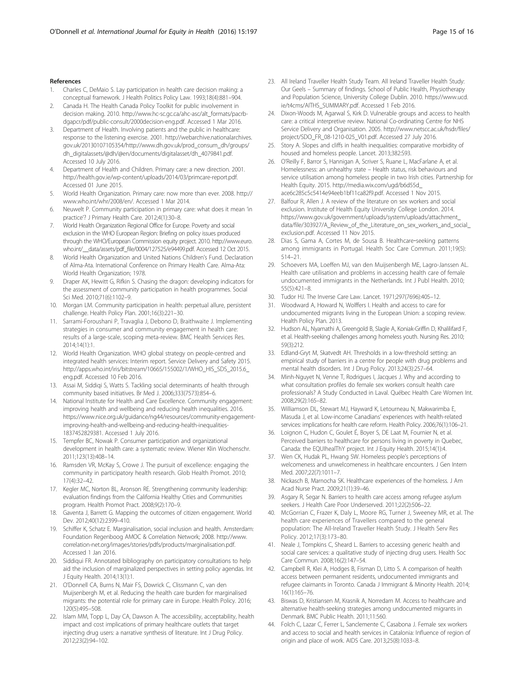#### <span id="page-14-0"></span>References

- 1. Charles C, DeMaio S. Lay participation in health care decision making: a conceptual framework. J Health Politics Policy Law. 1993;18(4):881–904.
- 2. Canada H. The Health Canada Policy Toolkit for public involvement in decision making. 2010. [http://www.hc-sc.gc.ca/ahc-asc/alt\\_formats/pacrb](http://www.hc-sc.gc.ca/ahc-asc/alt_formats/pacrb-dgapcr/pdf/public-consult/2000decision-eng.pdf)[dgapcr/pdf/public-consult/2000decision-eng.pdf.](http://www.hc-sc.gc.ca/ahc-asc/alt_formats/pacrb-dgapcr/pdf/public-consult/2000decision-eng.pdf) Accessed 1 Mar 2016.
- Department of Health. Involving patients and the public in healthcare: response to the listening exercise. 2001. [http://webarchive.nationalarchives.](http://webarchive.nationalarchives.gov.uk/20130107105354/http://www.dh.gov.uk/prod_consum_dh/groups/dh_digitalassets/@dh/@en/documents/digitalasset/dh_4079841.pdf) [gov.uk/20130107105354/http://www.dh.gov.uk/prod\\_consum\\_dh/groups/](http://webarchive.nationalarchives.gov.uk/20130107105354/http://www.dh.gov.uk/prod_consum_dh/groups/dh_digitalassets/@dh/@en/documents/digitalasset/dh_4079841.pdf) [dh\\_digitalassets/@dh/@en/documents/digitalasset/dh\\_4079841.pdf.](http://webarchive.nationalarchives.gov.uk/20130107105354/http://www.dh.gov.uk/prod_consum_dh/groups/dh_digitalassets/@dh/@en/documents/digitalasset/dh_4079841.pdf) Accessed 10 July 2016.
- 4. Department of Health and Children. Primary care: a new direction. 2001. <http://health.gov.ie/wp-content/uploads/2014/03/primcare-report.pdf>. Accessed 01 June 2015.
- 5. World Health Organization. Primary care: now more than ever. 2008. [http://](http://www.who.int/whr/2008/en/) [www.who.int/whr/2008/en/](http://www.who.int/whr/2008/en/). Accessed 1 Mar 2014.
- 6. Neuwelt P. Community participation in primary care: what does it mean 'in practice'? J Primary Health Care. 2012;4(1):30–8.
- 7. World Health Organization Regional Office for Europe. Poverty and social exclusion in the WHO European Region: Briefing on policy issues produced through the WHO/European Commission equity project. 2010. [http://www.euro.](http://www.euro.who.int/__data/assets/pdf_file/0004/127525/e94499.pdf) [who.int/\\_\\_data/assets/pdf\\_file/0004/127525/e94499.pdf](http://www.euro.who.int/__data/assets/pdf_file/0004/127525/e94499.pdf). Accessed 12 Oct 2015.
- 8. World Health Organization and United Nations Children's Fund. Declaration of Alma-Ata. International Conference on Primary Health Care. Alma-Ata: World Health Organization; 1978.
- 9. Draper AK, Hewitt G, Rifkin S. Chasing the dragon: developing indicators for the assessment of community participation in health programmes. Social Sci Med. 2010;71(6):1102–9.
- 10. Morgan LM. Community participation in health: perpetual allure, persistent challenge. Health Policy Plan. 2001;16(3):221–30.
- 11. Sarrami-Foroushani P, Travaglia J, Debono D, Braithwaite J. Implementing strategies in consumer and community engagement in health care: results of a large-scale, scoping meta-review. BMC Health Services Res. 2014;14(1):1.
- 12. World Health Organization. WHO global strategy on people-centred and integrated health services: Interim report. Service Delivery and Safety 2015. [http://apps.who.int/iris/bitstream/10665/155002/1/WHO\\_HIS\\_SDS\\_2015.6\\_](http://apps.who.int/iris/bitstream/10665/155002/1/WHO_HIS_SDS_2015.6_eng.pdf) [eng.pdf](http://apps.who.int/iris/bitstream/10665/155002/1/WHO_HIS_SDS_2015.6_eng.pdf). Accessed 10 Feb 2016.
- 13. Assai M, Siddiqi S, Watts S. Tackling social determinants of health through community based initiatives. Br Med J. 2006;333(7573):854–6.
- 14. National Institute for Health and Care Excellence. Community engagement: improving health and wellbeing and reducing health inequalities. 2016. [https://www.nice.org.uk/guidance/ng44/resources/community-engagement](https://www.nice.org.uk/guidance/ng44/resources/community-engagement-improving-health-and-wellbeing-and-reducing-health-inequalities-1837452829381)[improving-health-and-wellbeing-and-reducing-health-inequalities-](https://www.nice.org.uk/guidance/ng44/resources/community-engagement-improving-health-and-wellbeing-and-reducing-health-inequalities-1837452829381)[1837452829381](https://www.nice.org.uk/guidance/ng44/resources/community-engagement-improving-health-and-wellbeing-and-reducing-health-inequalities-1837452829381). Accessed 1 July 2016.
- 15. Tempfer BC, Nowak P. Consumer participation and organizational development in health care: a systematic review. Wiener Klin Wochenschr. 2011;123(13):408–14.
- 16. Ramsden VR, McKay S, Crowe J. The pursuit of excellence: engaging the community in participatory health research. Glob Health Promot. 2010; 17(4):32–42.
- 17. Kegler MC, Norton BL, Aronson RE. Strengthening community leadership: evaluation findings from the California Healthy Cities and Communities program. Health Promot Pract. 2008;9(2):170–9.
- 18. Gaventa J, Barrett G. Mapping the outcomes of citizen engagement. World Dev. 2012;40(12):2399–410.
- 19. Schiffer K, Schatz E. Marginalisation, social inclusion and health. Amsterdam: Foundation Regenboog AMOC & Correlation Network; 2008. [http://www.](http://www.correlation-net.org/images/stories/pdfs/products/marginalisation.pdf) [correlation-net.org/images/stories/pdfs/products/marginalisation.pdf](http://www.correlation-net.org/images/stories/pdfs/products/marginalisation.pdf). Accessed 1 Jan 2016.
- 20. Siddiqui FR. Annotated bibliography on participatory consultations to help aid the inclusion of marginalized perspectives in setting policy agendas. Int J Equity Health. 2014;13(1):1.
- 21. O'Donnell CA, Burns N, Mair FS, Dowrick C, Clissmann C, van den Muijsenbergh M, et al. Reducing the health care burden for marginalised migrants: the potential role for primary care in Europe. Health Policy. 2016; 120(5):495–508.
- 22. Islam MM, Topp L, Day CA, Dawson A. The accessibility, acceptability, health impact and cost implications of primary healthcare outlets that target injecting drug users: a narrative synthesis of literature. Int J Drug Policy. 2012;23(2):94–102.
- 23. All Ireland Traveller Health Study Team. All Ireland Traveller Health Study: Our Geels – Summary of findings. School of Public Health, Physiotherapy and Population Science, University College Dublin. 2010. [https://www.ucd.](https://www.ucd.ie/t4cms/AITHS_SUMMARY.pdf) [ie/t4cms/AITHS\\_SUMMARY.pdf.](https://www.ucd.ie/t4cms/AITHS_SUMMARY.pdf) Accessed 1 Feb 2016.
- 24. Dixon-Woods M, Agarwal S, Kirk D. Vulnerable groups and access to health care: a critical interpretive review. National Co-ordinating Centre for NHS Service Delivery and Organisation. 2005. [http://www.netscc.ac.uk/hsdr/files/](http://www.netscc.ac.uk/hsdr/files/project/SDO_FR_08-1210-025_V01.pdf) [project/SDO\\_FR\\_08-1210-025\\_V01.pdf](http://www.netscc.ac.uk/hsdr/files/project/SDO_FR_08-1210-025_V01.pdf). Accessed 27 July 2016.
- 25. Story A. Slopes and cliffs in health inequalities: comparative morbidity of housed and homeless people. Lancet. 2013;382:S93.
- 26. O'Reilly F, Barror S, Hannigan A, Scriver S, Ruane L, MacFarlane A, et al. Homelessness: an unhealthy state – Health status, risk behaviours and service utilisation among homeless people in two Irish cities. Partnership for Health Equity. 2015. [http://media.wix.com/ugd/b6d55d\\_](http://media.wix.com/ugd/b6d55d_ace6c285c5c5414e94eeb1bf11ca82f9.pdf) [ace6c285c5c5414e94eeb1bf11ca82f9.pdf.](http://media.wix.com/ugd/b6d55d_ace6c285c5c5414e94eeb1bf11ca82f9.pdf) Accessed 1 Nov 2015.
- 27. Balfour R, Allen J. A review of the literature on sex workers and social exclusion. Institute of Health Equity University College London. 2014. [https://www.gov.uk/government/uploads/system/uploads/attachment\\_](https://www.gov.uk/government/uploads/system/uploads/attachment_data/file/303927/A_Review_of_the_Literature_on_sex_workers_and_social_exclusion.pdf) [data/file/303927/A\\_Review\\_of\\_the\\_Literature\\_on\\_sex\\_workers\\_and\\_social\\_](https://www.gov.uk/government/uploads/system/uploads/attachment_data/file/303927/A_Review_of_the_Literature_on_sex_workers_and_social_exclusion.pdf) [exclusion.pdf.](https://www.gov.uk/government/uploads/system/uploads/attachment_data/file/303927/A_Review_of_the_Literature_on_sex_workers_and_social_exclusion.pdf) Accessed 11 Nov 2015.
- 28. Dias S, Gama A, Cortes M, de Sousa B. Healthcare-seeking patterns among immigrants in Portugal. Health Soc Care Commun. 2011;19(5): 514–21.
- 29. Schoevers MA, Loeffen MJ, van den Muijsenbergh ME, Lagro-Janssen AL. Health care utilisation and problems in accessing health care of female undocumented immigrants in the Netherlands. Int J Publ Health. 2010; 55(5):421–8.
- 30. Tudor HJ. The Inverse Care Law. Lancet. 1971;297(7696):405–12.
- 31. Woodward A, Howard N, Wolffers I. Health and access to care for undocumented migrants living in the European Union: a scoping review. Health Policy Plan. 2013.
- 32. Hudson AL, Nyamathi A, Greengold B, Slagle A, Koniak-Griffin D, Khalilifard F, et al. Health-seeking challenges among homeless youth. Nursing Res. 2010; 59(3):212.
- 33. Edland-Gryt M, Skatvedt AH. Thresholds in a low-threshold setting: an empirical study of barriers in a centre for people with drug problems and mental health disorders. Int J Drug Policy. 2013;24(3):257–64.
- 34. Minh-Nguyet N, Venne T, Rodrigues I, Jacques J. Why and according to what consultation profiles do female sex workers consult health care professionals? A Study Conducted in Laval. Québec Health Care Women Int. 2008;29(2):165–82.
- 35. Williamson DL, Stewart MJ, Hayward K, Letourneau N, Makwarimba E, Masuda J, et al. Low-income Canadians' experiences with health-related services: implications for health care reform. Health Policy. 2006;76(1):106–21.
- 36. Loignon C, Hudon C, Goulet É, Boyer S, DE Laat M, Fournier N, et al. Perceived barriers to healthcare for persons living in poverty in Quebec, Canada: the EQUIhealThY project. Int J Equity Health. 2015;14(1):4.
- 37. Wen CK, Hudak PL, Hwang SW. Homeless people's perceptions of welcomeness and unwelcomeness in healthcare encounters. J Gen Intern Med. 2007;22(7):1011–7.
- 38. Nickasch B, Marnocha SK. Healthcare experiences of the homeless. J Am Acad Nurse Pract. 2009;21(1):39–46.
- 39. Asgary R, Segar N. Barriers to health care access among refugee asylum seekers. J Health Care Poor Underserved. 2011;22(2):506–22.
- 40. McGorrian C, Frazer K, Daly L, Moore RG, Turner J, Sweeney MR, et al. The health care experiences of Travellers compared to the general population: The All-Ireland Traveller Health Study. J Health Serv Res Policy. 2012;17(3):173–80.
- 41. Neale J, Tompkins C, Sheard L. Barriers to accessing generic health and social care services: a qualitative study of injecting drug users. Health Soc Care Commun. 2008;16(2):147–54.
- 42. Campbell R, Klei A, Hodges B, Fisman D, Litto S. A comparison of health access between permanent residents, undocumented immigrants and refugee claimants in Toronto. Canada J Immigrant & Minority Health. 2014; 16(1):165–76.
- 43. Biswas D, Kristiansen M, Krasnik A, Norredam M. Access to healthcare and alternative health-seeking strategies among undocumented migrants in Denmark. BMC Public Health. 2011;11:560.
- 44. Folch C, Lazar C, Ferrer L, Sanclemente C, Casabona J. Female sex workers and access to social and health services in Catalonia: Influence of region of origin and place of work. AIDS Care. 2013;25(8):1033–8.